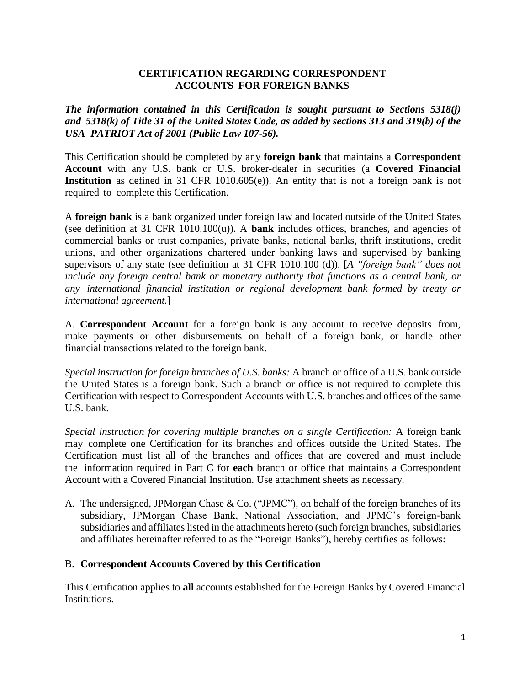### **CERTIFICATION REGARDING CORRESPONDENT ACCOUNTS FOR FOREIGN BANKS**

*The information contained in this Certification is sought pursuant to Sections 5318(j)* and  $5318(k)$  of Title 31 of the United States Code, as added by sections 313 and 319(b) of the *USA PATRIOT Act of 2001 (Public Law 107-56).*

This Certification should be completed by any **foreign bank** that maintains a **Correspondent Account** with any U.S. bank or U.S. broker-dealer in securities (a **Covered Financial Institution** as defined in 31 CFR 1010.605(e)). An entity that is not a foreign bank is not required to complete this Certification.

A **foreign bank** is a bank organized under foreign law and located outside of the United States (see definition at 31 CFR 1010.100(u)). A **bank** includes offices, branches, and agencies of commercial banks or trust companies, private banks, national banks, thrift institutions, credit unions, and other organizations chartered under banking laws and supervised by banking supervisors of any state (see definition at 31 CFR 1010.100 (d)). [*A "foreign bank" does not include any foreign central bank or monetary authority that functions as a central bank, or any international financial institution or regional development bank formed by treaty or international agreement.*]

A. **Correspondent Account** for a foreign bank is any account to receive deposits from, make payments or other disbursements on behalf of a foreign bank, or handle other financial transactions related to the foreign bank.

*Special instruction for foreign branches of U.S. banks:* A branch or office of a U.S. bank outside the United States is a foreign bank. Such a branch or office is not required to complete this Certification with respect to Correspondent Accounts with U.S. branches and offices of the same U.S. bank.

*Special instruction for covering multiple branches on a single Certification:* A foreign bank may complete one Certification for its branches and offices outside the United States. The Certification must list all of the branches and offices that are covered and must include the information required in Part C for **each** branch or office that maintains a Correspondent Account with a Covered Financial Institution. Use attachment sheets as necessary.

A. The undersigned, JPMorgan Chase & Co. ("JPMC"), on behalf of the foreign branches of its subsidiary, JPMorgan Chase Bank, National Association, and JPMC's foreign-bank subsidiaries and affiliates listed in the attachments hereto (such foreign branches, subsidiaries and affiliates hereinafter referred to as the "Foreign Banks"), hereby certifies as follows:

### B. **Correspondent Accounts Covered by this Certification**

This Certification applies to **all** accounts established for the Foreign Banks by Covered Financial Institutions.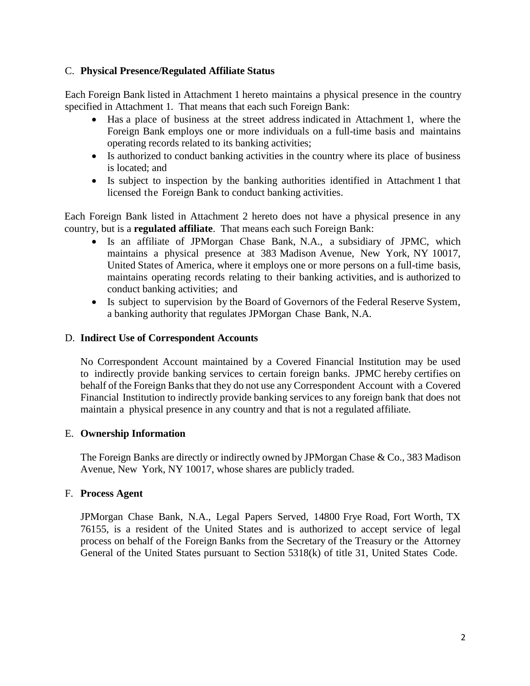# C. **Physical Presence/Regulated Affiliate Status**

Each Foreign Bank listed in Attachment 1 hereto maintains a physical presence in the country specified in Attachment 1. That means that each such Foreign Bank:

- Has a place of business at the street address indicated in Attachment 1, where the Foreign Bank employs one or more individuals on a full-time basis and maintains operating records related to its banking activities;
- Is authorized to conduct banking activities in the country where its place of business is located; and
- Is subject to inspection by the banking authorities identified in Attachment 1 that licensed the Foreign Bank to conduct banking activities.

Each Foreign Bank listed in Attachment 2 hereto does not have a physical presence in any country, but is a **regulated affiliate**. That means each such Foreign Bank:

- Is an affiliate of JPMorgan Chase Bank, N.A., a subsidiary of JPMC, which maintains a physical presence at 383 Madison Avenue, New York, NY 10017, United States of America, where it employs one or more persons on a full-time basis, maintains operating records relating to their banking activities, and is authorized to conduct banking activities; and
- Is subject to supervision by the Board of Governors of the Federal Reserve System, a banking authority that regulates JPMorgan Chase Bank, N.A.

#### D. **Indirect Use of Correspondent Accounts**

No Correspondent Account maintained by a Covered Financial Institution may be used to indirectly provide banking services to certain foreign banks. JPMC hereby certifies on behalf of the Foreign Banks that they do not use any Correspondent Account with a Covered Financial Institution to indirectly provide banking services to any foreign bank that does not maintain a physical presence in any country and that is not a regulated affiliate.

### E. **Ownership Information**

The Foreign Banks are directly or indirectly owned by JPMorgan Chase & Co., 383 Madison Avenue, New York, NY 10017, whose shares are publicly traded.

#### F. **Process Agent**

JPMorgan Chase Bank, N.A., Legal Papers Served, 14800 Frye Road, Fort Worth, TX 76155, is a resident of the United States and is authorized to accept service of legal process on behalf of the Foreign Banks from the Secretary of the Treasury or the Attorney General of the United States pursuant to Section 5318(k) of title 31, United States Code.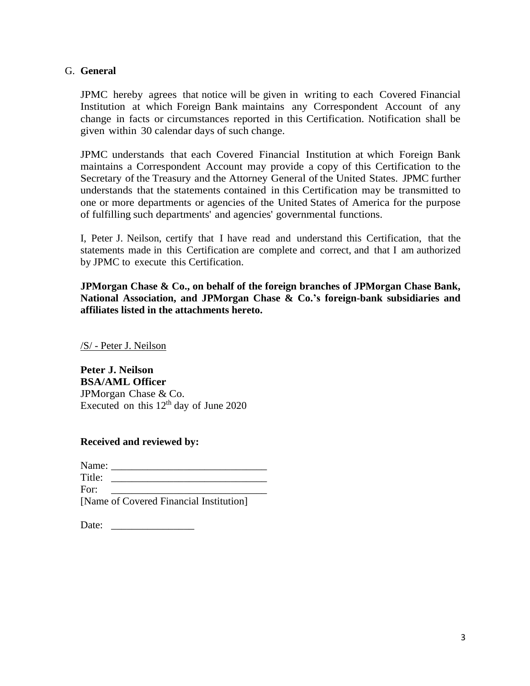## G. **General**

JPMC hereby agrees that notice will be given in writing to each Covered Financial Institution at which Foreign Bank maintains any Correspondent Account of any change in facts or circumstances reported in this Certification. Notification shall be given within 30 calendar days of such change.

JPMC understands that each Covered Financial Institution at which Foreign Bank maintains a Correspondent Account may provide a copy of this Certification to the Secretary of the Treasury and the Attorney General of the United States. JPMC further understands that the statements contained in this Certification may be transmitted to one or more departments or agencies of the United States of America for the purpose of fulfilling such departments' and agencies' governmental functions.

I, Peter J. Neilson, certify that I have read and understand this Certification, that the statements made in this Certification are complete and correct, and that I am authorized by JPMC to execute this Certification.

**JPMorgan Chase & Co., on behalf of the foreign branches of JPMorgan Chase Bank, National Association, and JPMorgan Chase & Co.'s foreign-bank subsidiaries and affiliates listed in the attachments hereto.**

/S/ - Peter J. Neilson

**Peter J. Neilson BSA/AML Officer** JPMorgan Chase & Co. Executed on this  $12<sup>th</sup>$  day of June 2020

**Received and reviewed by:** 

| Name:  |                                         |
|--------|-----------------------------------------|
| Title: |                                         |
| For:   |                                         |
|        | [Name of Covered Financial Institution] |

| Date: |  |
|-------|--|
|-------|--|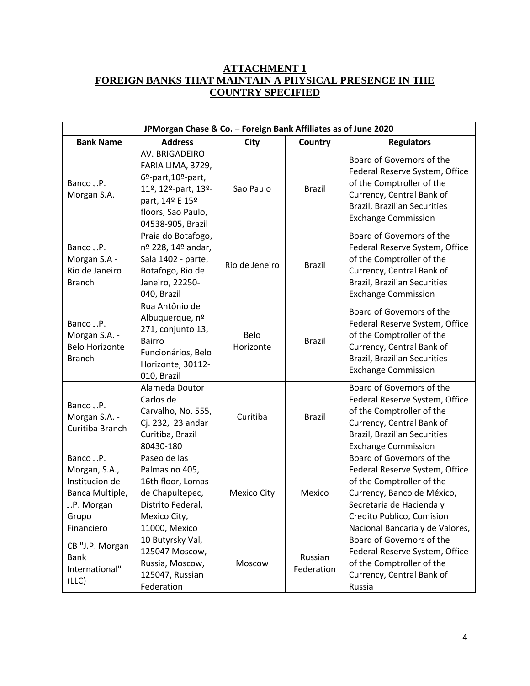# **ATTACHMENT 1 FOREIGN BANKS THAT MAINTAIN A PHYSICAL PRESENCE IN THE COUNTRY SPECIFIED**

| JPMorgan Chase & Co. - Foreign Bank Affiliates as of June 2020                                         |                                                                                                                                                  |                    |                       |                                                                                                                                                                                                                                                 |
|--------------------------------------------------------------------------------------------------------|--------------------------------------------------------------------------------------------------------------------------------------------------|--------------------|-----------------------|-------------------------------------------------------------------------------------------------------------------------------------------------------------------------------------------------------------------------------------------------|
| <b>Bank Name</b>                                                                                       | <b>Address</b>                                                                                                                                   | City               | <b>Country</b>        | <b>Regulators</b>                                                                                                                                                                                                                               |
| Banco J.P.<br>Morgan S.A.                                                                              | AV. BRIGADEIRO<br>FARIA LIMA, 3729,<br>6º-part, 10º-part,<br>11º, 12º-part, 13º-<br>part, 14º E 15º<br>floors, Sao Paulo,<br>04538-905, Brazil   | Sao Paulo          | <b>Brazil</b>         | Board of Governors of the<br>Federal Reserve System, Office<br>of the Comptroller of the<br>Currency, Central Bank of<br><b>Brazil, Brazilian Securities</b><br><b>Exchange Commission</b>                                                      |
| Banco J.P.<br>Morgan S.A -<br>Rio de Janeiro<br><b>Branch</b>                                          | Praia do Botafogo,<br>nº 228, 14º andar,<br>Sala 1402 - parte,<br>Botafogo, Rio de<br>Janeiro, 22250-<br>040, Brazil                             | Rio de Jeneiro     | <b>Brazil</b>         | Board of Governors of the<br>Federal Reserve System, Office<br>of the Comptroller of the<br>Currency, Central Bank of<br><b>Brazil, Brazilian Securities</b><br><b>Exchange Commission</b>                                                      |
| Banco J.P.<br>Morgan S.A. -<br><b>Belo Horizonte</b><br><b>Branch</b>                                  | Rua Antônio de<br>Albuquerque, nº<br>271, conjunto 13,<br><b>Bairro</b><br>Funcionários, Belo<br>Horizonte, 30112-<br>010, Brazil                | Belo<br>Horizonte  | <b>Brazil</b>         | Board of Governors of the<br>Federal Reserve System, Office<br>of the Comptroller of the<br>Currency, Central Bank of<br><b>Brazil, Brazilian Securities</b><br><b>Exchange Commission</b>                                                      |
| Banco J.P.<br>Morgan S.A. -<br>Curitiba Branch                                                         | Alameda Doutor<br>Carlos de<br>Carvalho, No. 555,<br>Cj. 232, 23 andar<br>Curitiba, Brazil<br>80430-180                                          | Curitiba           | <b>Brazil</b>         | Board of Governors of the<br>Federal Reserve System, Office<br>of the Comptroller of the<br>Currency, Central Bank of<br><b>Brazil, Brazilian Securities</b><br><b>Exchange Commission</b>                                                      |
| Banco J.P.<br>Morgan, S.A.,<br>Institucion de<br>Banca Multiple,<br>J.P. Morgan<br>Grupo<br>Financiero | Paseo de las<br>Palmas no 405,<br>16th floor, Lomas<br>de Chapultepec,<br>Distrito Federal,<br>Mexico City,<br>11000, Mexico<br>10 Butyrsky Val, | <b>Mexico City</b> | Mexico                | Board of Governors of the<br>Federal Reserve System, Office<br>of the Comptroller of the<br>Currency, Banco de México,<br>Secretaria de Hacienda y<br>Credito Publico, Comision<br>Nacional Bancaria y de Valores,<br>Board of Governors of the |
| CB "J.P. Morgan<br><b>Bank</b><br>International"<br>(LLC)                                              | 125047 Moscow,<br>Russia, Moscow,<br>125047, Russian<br>Federation                                                                               | Moscow             | Russian<br>Federation | Federal Reserve System, Office<br>of the Comptroller of the<br>Currency, Central Bank of<br>Russia                                                                                                                                              |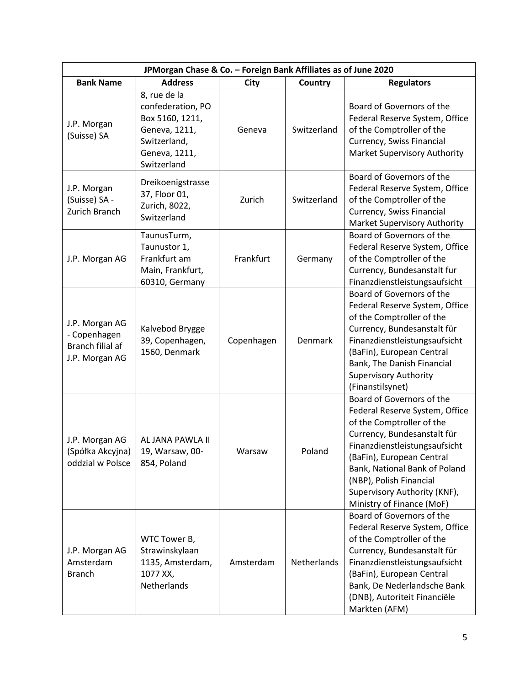| JPMorgan Chase & Co. - Foreign Bank Affiliates as of June 2020       |                                                                                                                       |            |             |                                                                                                                                                                                                                                                                                                                |
|----------------------------------------------------------------------|-----------------------------------------------------------------------------------------------------------------------|------------|-------------|----------------------------------------------------------------------------------------------------------------------------------------------------------------------------------------------------------------------------------------------------------------------------------------------------------------|
| <b>Bank Name</b>                                                     | <b>Address</b>                                                                                                        | City       | Country     | <b>Regulators</b>                                                                                                                                                                                                                                                                                              |
| J.P. Morgan<br>(Suisse) SA                                           | 8, rue de la<br>confederation, PO<br>Box 5160, 1211,<br>Geneva, 1211,<br>Switzerland,<br>Geneva, 1211,<br>Switzerland | Geneva     | Switzerland | Board of Governors of the<br>Federal Reserve System, Office<br>of the Comptroller of the<br>Currency, Swiss Financial<br>Market Supervisory Authority                                                                                                                                                          |
| J.P. Morgan<br>(Suisse) SA -<br>Zurich Branch                        | Dreikoenigstrasse<br>37, Floor 01,<br>Zurich, 8022,<br>Switzerland                                                    | Zurich     | Switzerland | Board of Governors of the<br>Federal Reserve System, Office<br>of the Comptroller of the<br>Currency, Swiss Financial<br>Market Supervisory Authority                                                                                                                                                          |
| J.P. Morgan AG                                                       | TaunusTurm,<br>Taunustor 1,<br>Frankfurt am<br>Main, Frankfurt,<br>60310, Germany                                     | Frankfurt  | Germany     | Board of Governors of the<br>Federal Reserve System, Office<br>of the Comptroller of the<br>Currency, Bundesanstalt fur<br>Finanzdienstleistungsaufsicht                                                                                                                                                       |
| J.P. Morgan AG<br>- Copenhagen<br>Branch filial af<br>J.P. Morgan AG | Kalvebod Brygge<br>39, Copenhagen,<br>1560, Denmark                                                                   | Copenhagen | Denmark     | Board of Governors of the<br>Federal Reserve System, Office<br>of the Comptroller of the<br>Currency, Bundesanstalt für<br>Finanzdienstleistungsaufsicht<br>(BaFin), European Central<br>Bank, The Danish Financial<br><b>Supervisory Authority</b><br>(Finanstilsynet)                                        |
| J.P. Morgan AG<br>(Spółka Akcyjna)<br>oddzial w Polsce               | AL JANA PAWLA II<br>19, Warsaw, 00-<br>854, Poland                                                                    | Warsaw     | Poland      | Board of Governors of the<br>Federal Reserve System, Office<br>of the Comptroller of the<br>Currency, Bundesanstalt für<br>Finanzdienstleistungsaufsicht<br>(BaFin), European Central<br>Bank, National Bank of Poland<br>(NBP), Polish Financial<br>Supervisory Authority (KNF),<br>Ministry of Finance (MoF) |
| J.P. Morgan AG<br>Amsterdam<br><b>Branch</b>                         | WTC Tower B,<br>Strawinskylaan<br>1135, Amsterdam,<br>1077 XX,<br>Netherlands                                         | Amsterdam  | Netherlands | Board of Governors of the<br>Federal Reserve System, Office<br>of the Comptroller of the<br>Currency, Bundesanstalt für<br>Finanzdienstleistungsaufsicht<br>(BaFin), European Central<br>Bank, De Nederlandsche Bank<br>(DNB), Autoriteit Financiële<br>Markten (AFM)                                          |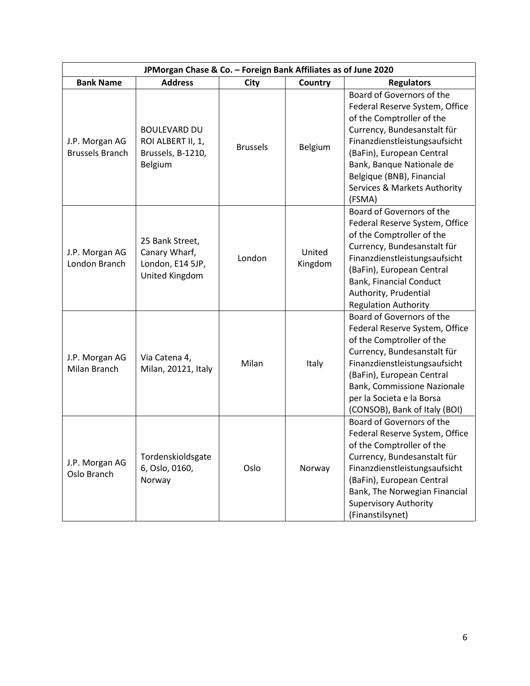|                                          | JPMorgan Chase & Co. - Foreign Bank Affiliates as of June 2020           |                 |                   |                                                                                                                                                                                                                                                                                           |
|------------------------------------------|--------------------------------------------------------------------------|-----------------|-------------------|-------------------------------------------------------------------------------------------------------------------------------------------------------------------------------------------------------------------------------------------------------------------------------------------|
| <b>Bank Name</b>                         | <b>Address</b>                                                           | City            | Country           | <b>Regulators</b>                                                                                                                                                                                                                                                                         |
| J.P. Morgan AG<br><b>Brussels Branch</b> | <b>BOULEVARD DU</b><br>ROI ALBERT II, 1,<br>Brussels, B-1210,<br>Belgium | <b>Brussels</b> | Belgium           | Board of Governors of the<br>Federal Reserve System, Office<br>of the Comptroller of the<br>Currency, Bundesanstalt für<br>Finanzdienstleistungsaufsicht<br>(BaFin), European Central<br>Bank, Banque Nationale de<br>Belgique (BNB), Financial<br>Services & Markets Authority<br>(FSMA) |
| J.P. Morgan AG<br>London Branch          | 25 Bank Street,<br>Canary Wharf,<br>London, E14 5JP,<br>United Kingdom   | London          | United<br>Kingdom | Board of Governors of the<br>Federal Reserve System, Office<br>of the Comptroller of the<br>Currency, Bundesanstalt für<br>Finanzdienstleistungsaufsicht<br>(BaFin), European Central<br><b>Bank, Financial Conduct</b><br>Authority, Prudential<br><b>Regulation Authority</b>           |
| J.P. Morgan AG<br>Milan Branch           | Via Catena 4,<br>Milan, 20121, Italy                                     | Milan           | Italy             | Board of Governors of the<br>Federal Reserve System, Office<br>of the Comptroller of the<br>Currency, Bundesanstalt für<br>Finanzdienstleistungsaufsicht<br>(BaFin), European Central<br>Bank, Commissione Nazionale<br>per la Societa e la Borsa<br>(CONSOB), Bank of Italy (BOI)        |
| J.P. Morgan AG<br>Oslo Branch            | Tordenskioldsgate<br>6, Oslo, 0160,<br>Norway                            | Oslo            | Norway            | Board of Governors of the<br>Federal Reserve System, Office<br>of the Comptroller of the<br>Currency, Bundesanstalt für<br>Finanzdienstleistungsaufsicht<br>(BaFin), European Central<br>Bank, The Norwegian Financial<br><b>Supervisory Authority</b><br>(Finanstilsynet)                |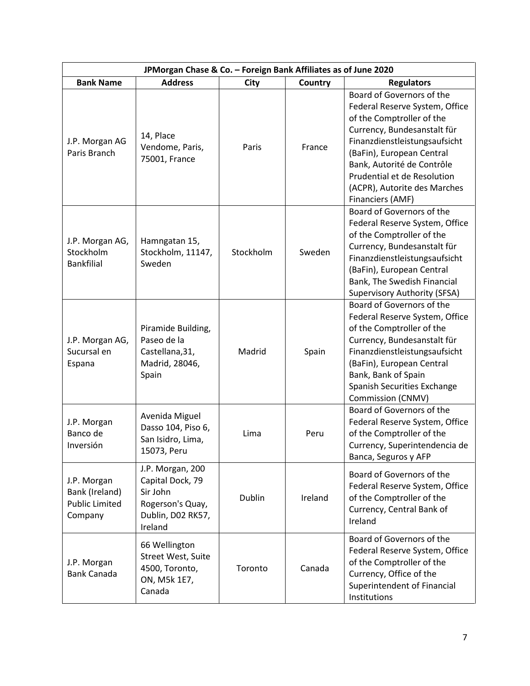| JPMorgan Chase & Co. - Foreign Bank Affiliates as of June 2020    |                                                                                                      |           |         |                                                                                                                                                                                                                                                                                                        |
|-------------------------------------------------------------------|------------------------------------------------------------------------------------------------------|-----------|---------|--------------------------------------------------------------------------------------------------------------------------------------------------------------------------------------------------------------------------------------------------------------------------------------------------------|
| <b>Bank Name</b>                                                  | <b>Address</b>                                                                                       | City      | Country | <b>Regulators</b>                                                                                                                                                                                                                                                                                      |
| J.P. Morgan AG<br>Paris Branch                                    | 14, Place<br>Vendome, Paris,<br>75001, France                                                        | Paris     | France  | Board of Governors of the<br>Federal Reserve System, Office<br>of the Comptroller of the<br>Currency, Bundesanstalt für<br>Finanzdienstleistungsaufsicht<br>(BaFin), European Central<br>Bank, Autorité de Contrôle<br>Prudential et de Resolution<br>(ACPR), Autorite des Marches<br>Financiers (AMF) |
| J.P. Morgan AG,<br>Stockholm<br><b>Bankfilial</b>                 | Hamngatan 15,<br>Stockholm, 11147,<br>Sweden                                                         | Stockholm | Sweden  | Board of Governors of the<br>Federal Reserve System, Office<br>of the Comptroller of the<br>Currency, Bundesanstalt für<br>Finanzdienstleistungsaufsicht<br>(BaFin), European Central<br>Bank, The Swedish Financial<br>Supervisory Authority (SFSA)                                                   |
| J.P. Morgan AG,<br>Sucursal en<br>Espana                          | Piramide Building,<br>Paseo de la<br>Castellana, 31,<br>Madrid, 28046,<br>Spain                      | Madrid    | Spain   | Board of Governors of the<br>Federal Reserve System, Office<br>of the Comptroller of the<br>Currency, Bundesanstalt für<br>Finanzdienstleistungsaufsicht<br>(BaFin), European Central<br>Bank, Bank of Spain<br>Spanish Securities Exchange<br>Commission (CNMV)                                       |
| J.P. Morgan<br>Banco de<br>Inversión                              | Avenida Miguel<br>Dasso 104, Piso 6,<br>San Isidro, Lima,<br>15073, Peru                             | Lima      | Peru    | Board of Governors of the<br>Federal Reserve System, Office<br>of the Comptroller of the<br>Currency, Superintendencia de<br>Banca, Seguros y AFP                                                                                                                                                      |
| J.P. Morgan<br>Bank (Ireland)<br><b>Public Limited</b><br>Company | J.P. Morgan, 200<br>Capital Dock, 79<br>Sir John<br>Rogerson's Quay,<br>Dublin, D02 RK57,<br>Ireland | Dublin    | Ireland | Board of Governors of the<br>Federal Reserve System, Office<br>of the Comptroller of the<br>Currency, Central Bank of<br>Ireland                                                                                                                                                                       |
| J.P. Morgan<br><b>Bank Canada</b>                                 | 66 Wellington<br>Street West, Suite<br>4500, Toronto,<br>ON, M5k 1E7,<br>Canada                      | Toronto   | Canada  | Board of Governors of the<br>Federal Reserve System, Office<br>of the Comptroller of the<br>Currency, Office of the<br>Superintendent of Financial<br>Institutions                                                                                                                                     |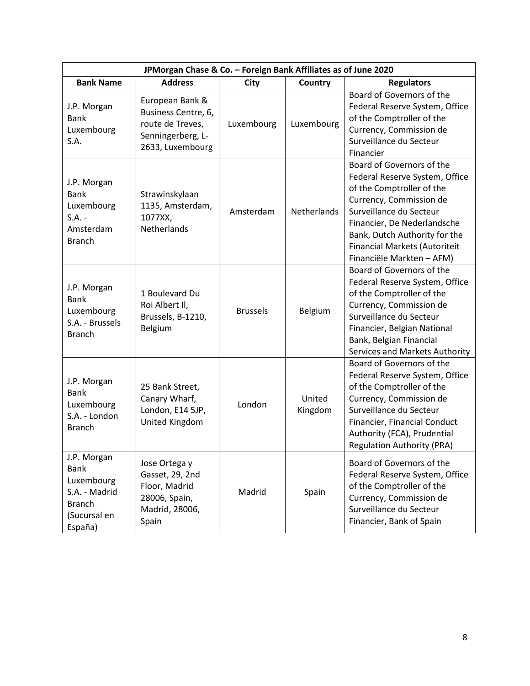|                                                                                                       | JPMorgan Chase & Co. - Foreign Bank Affiliates as of June 2020                                      |                 |                   |                                                                                                                                                                                                                                                                              |  |
|-------------------------------------------------------------------------------------------------------|-----------------------------------------------------------------------------------------------------|-----------------|-------------------|------------------------------------------------------------------------------------------------------------------------------------------------------------------------------------------------------------------------------------------------------------------------------|--|
| <b>Bank Name</b>                                                                                      | <b>Address</b>                                                                                      | City            | Country           | <b>Regulators</b>                                                                                                                                                                                                                                                            |  |
| J.P. Morgan<br><b>Bank</b><br>Luxembourg<br>S.A.                                                      | European Bank &<br>Business Centre, 6,<br>route de Treves,<br>Senningerberg, L-<br>2633, Luxembourg | Luxembourg      | Luxembourg        | Board of Governors of the<br>Federal Reserve System, Office<br>of the Comptroller of the<br>Currency, Commission de<br>Surveillance du Secteur<br>Financier                                                                                                                  |  |
| J.P. Morgan<br><b>Bank</b><br>Luxembourg<br>$S.A. -$<br>Amsterdam<br><b>Branch</b>                    | Strawinskylaan<br>1135, Amsterdam,<br>1077XX,<br>Netherlands                                        | Amsterdam       | Netherlands       | Board of Governors of the<br>Federal Reserve System, Office<br>of the Comptroller of the<br>Currency, Commission de<br>Surveillance du Secteur<br>Financier, De Nederlandsche<br>Bank, Dutch Authority for the<br>Financial Markets (Autoriteit<br>Financiële Markten - AFM) |  |
| J.P. Morgan<br><b>Bank</b><br>Luxembourg<br>S.A. - Brussels<br><b>Branch</b>                          | 1 Boulevard Du<br>Roi Albert II,<br>Brussels, B-1210,<br>Belgium                                    | <b>Brussels</b> | Belgium           | Board of Governors of the<br>Federal Reserve System, Office<br>of the Comptroller of the<br>Currency, Commission de<br>Surveillance du Secteur<br>Financier, Belgian National<br>Bank, Belgian Financial<br>Services and Markets Authority                                   |  |
| J.P. Morgan<br><b>Bank</b><br>Luxembourg<br>S.A. - London<br><b>Branch</b>                            | 25 Bank Street,<br>Canary Wharf,<br>London, E14 5JP,<br>United Kingdom                              | London          | United<br>Kingdom | Board of Governors of the<br>Federal Reserve System, Office<br>of the Comptroller of the<br>Currency, Commission de<br>Surveillance du Secteur<br>Financier, Financial Conduct<br>Authority (FCA), Prudential<br><b>Regulation Authority (PRA)</b>                           |  |
| J.P. Morgan<br><b>Bank</b><br>Luxembourg<br>S.A. - Madrid<br><b>Branch</b><br>(Sucursal en<br>España) | Jose Ortega y<br>Gasset, 29, 2nd<br>Floor, Madrid<br>28006, Spain,<br>Madrid, 28006,<br>Spain       | Madrid          | Spain             | Board of Governors of the<br>Federal Reserve System, Office<br>of the Comptroller of the<br>Currency, Commission de<br>Surveillance du Secteur<br>Financier, Bank of Spain                                                                                                   |  |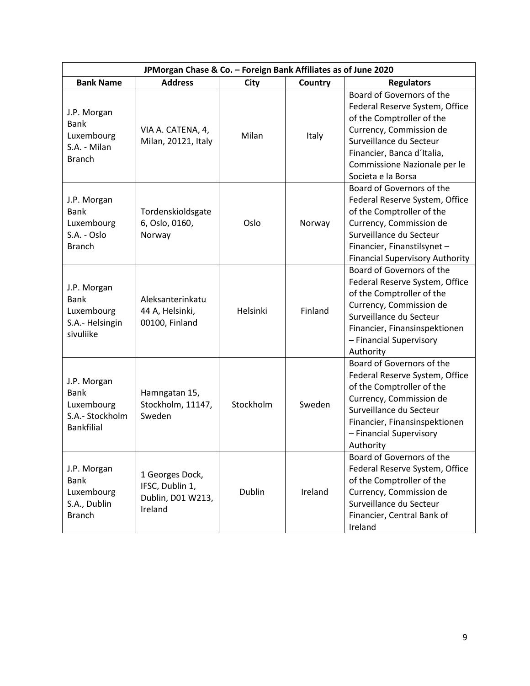| JPMorgan Chase & Co. - Foreign Bank Affiliates as of June 2020                   |                                                                    |               |         |                                                                                                                                                                                                                                    |
|----------------------------------------------------------------------------------|--------------------------------------------------------------------|---------------|---------|------------------------------------------------------------------------------------------------------------------------------------------------------------------------------------------------------------------------------------|
| <b>Bank Name</b>                                                                 | <b>Address</b>                                                     | City          | Country | <b>Regulators</b>                                                                                                                                                                                                                  |
| J.P. Morgan<br><b>Bank</b><br>Luxembourg<br>S.A. - Milan<br><b>Branch</b>        | VIA A. CATENA, 4,<br>Milan, 20121, Italy                           | Milan         | Italy   | Board of Governors of the<br>Federal Reserve System, Office<br>of the Comptroller of the<br>Currency, Commission de<br>Surveillance du Secteur<br>Financier, Banca d'Italia,<br>Commissione Nazionale per le<br>Societa e la Borsa |
| J.P. Morgan<br><b>Bank</b><br>Luxembourg<br>S.A. - Oslo<br><b>Branch</b>         | Tordenskioldsgate<br>6, Oslo, 0160,<br>Norway                      | Oslo          | Norway  | Board of Governors of the<br>Federal Reserve System, Office<br>of the Comptroller of the<br>Currency, Commission de<br>Surveillance du Secteur<br>Financier, Finanstilsynet -<br><b>Financial Supervisory Authority</b>            |
| J.P. Morgan<br><b>Bank</b><br>Luxembourg<br>S.A.- Helsingin<br>sivuliike         | Aleksanterinkatu<br>44 A, Helsinki,<br>00100, Finland              | Helsinki      | Finland | Board of Governors of the<br>Federal Reserve System, Office<br>of the Comptroller of the<br>Currency, Commission de<br>Surveillance du Secteur<br>Financier, Finansinspektionen<br>- Financial Supervisory<br>Authority            |
| J.P. Morgan<br><b>Bank</b><br>Luxembourg<br>S.A.- Stockholm<br><b>Bankfilial</b> | Hamngatan 15,<br>Stockholm, 11147,<br>Sweden                       | Stockholm     | Sweden  | Board of Governors of the<br>Federal Reserve System, Office<br>of the Comptroller of the<br>Currency, Commission de<br>Surveillance du Secteur<br>Financier, Finansinspektionen<br>- Financial Supervisory<br>Authority            |
| J.P. Morgan<br><b>Bank</b><br>Luxembourg<br>S.A., Dublin<br><b>Branch</b>        | 1 Georges Dock,<br>IFSC, Dublin 1,<br>Dublin, D01 W213,<br>Ireland | <b>Dublin</b> | Ireland | Board of Governors of the<br>Federal Reserve System, Office<br>of the Comptroller of the<br>Currency, Commission de<br>Surveillance du Secteur<br>Financier, Central Bank of<br>Ireland                                            |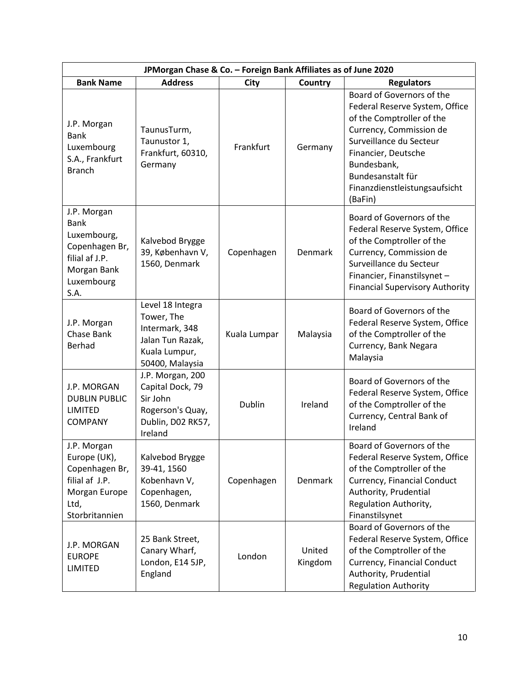| JPMorgan Chase & Co. - Foreign Bank Affiliates as of June 2020                                                     |                                                                                                          |               |                   |                                                                                                                                                                                                                                                       |
|--------------------------------------------------------------------------------------------------------------------|----------------------------------------------------------------------------------------------------------|---------------|-------------------|-------------------------------------------------------------------------------------------------------------------------------------------------------------------------------------------------------------------------------------------------------|
| <b>Bank Name</b>                                                                                                   | <b>Address</b>                                                                                           | City          | Country           | <b>Regulators</b>                                                                                                                                                                                                                                     |
| J.P. Morgan<br><b>Bank</b><br>Luxembourg<br>S.A., Frankfurt<br><b>Branch</b>                                       | TaunusTurm,<br>Taunustor 1,<br>Frankfurt, 60310,<br>Germany                                              | Frankfurt     | Germany           | Board of Governors of the<br>Federal Reserve System, Office<br>of the Comptroller of the<br>Currency, Commission de<br>Surveillance du Secteur<br>Financier, Deutsche<br>Bundesbank,<br>Bundesanstalt für<br>Finanzdienstleistungsaufsicht<br>(BaFin) |
| J.P. Morgan<br><b>Bank</b><br>Luxembourg,<br>Copenhagen Br,<br>filial af J.P.<br>Morgan Bank<br>Luxembourg<br>S.A. | Kalvebod Brygge<br>39, København V,<br>1560, Denmark                                                     | Copenhagen    | Denmark           | Board of Governors of the<br>Federal Reserve System, Office<br>of the Comptroller of the<br>Currency, Commission de<br>Surveillance du Secteur<br>Financier, Finanstilsynet -<br><b>Financial Supervisory Authority</b>                               |
| J.P. Morgan<br>Chase Bank<br>Berhad                                                                                | Level 18 Integra<br>Tower, The<br>Intermark, 348<br>Jalan Tun Razak,<br>Kuala Lumpur,<br>50400, Malaysia | Kuala Lumpar  | Malaysia          | Board of Governors of the<br>Federal Reserve System, Office<br>of the Comptroller of the<br>Currency, Bank Negara<br>Malaysia                                                                                                                         |
| J.P. MORGAN<br><b>DUBLIN PUBLIC</b><br><b>LIMITED</b><br><b>COMPANY</b>                                            | J.P. Morgan, 200<br>Capital Dock, 79<br>Sir John<br>Rogerson's Quay,<br>Dublin, D02 RK57,<br>Ireland     | <b>Dublin</b> | Ireland           | Board of Governors of the<br>Federal Reserve System, Office<br>of the Comptroller of the<br>Currency, Central Bank of<br>Ireland                                                                                                                      |
| J.P. Morgan<br>Europe (UK),<br>Copenhagen Br,<br>filial af J.P.<br>Morgan Europe<br>Ltd,<br>Storbritannien         | Kalvebod Brygge<br>39-41, 1560<br>Kobenhavn V,<br>Copenhagen,<br>1560, Denmark                           | Copenhagen    | Denmark           | Board of Governors of the<br>Federal Reserve System, Office<br>of the Comptroller of the<br>Currency, Financial Conduct<br>Authority, Prudential<br>Regulation Authority,<br>Finanstilsynet                                                           |
| J.P. MORGAN<br><b>EUROPE</b><br>LIMITED                                                                            | 25 Bank Street,<br>Canary Wharf,<br>London, E14 5JP,<br>England                                          | London        | United<br>Kingdom | Board of Governors of the<br>Federal Reserve System, Office<br>of the Comptroller of the<br>Currency, Financial Conduct<br>Authority, Prudential<br><b>Regulation Authority</b>                                                                       |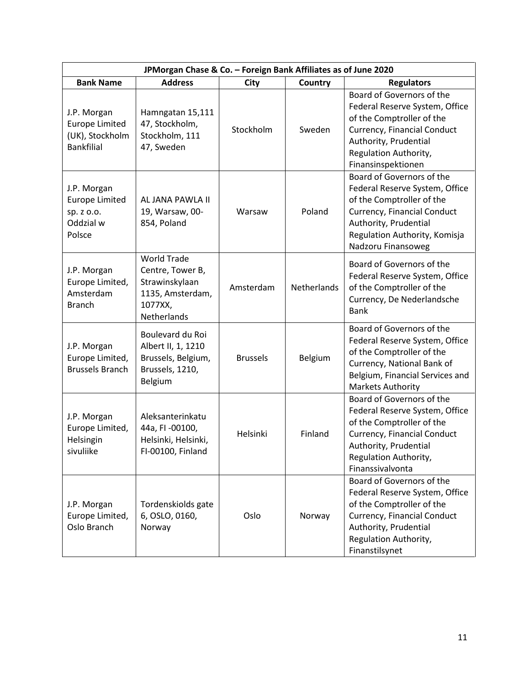| JPMorgan Chase & Co. - Foreign Bank Affiliates as of June 2020               |                                                                                                        |                 |             |                                                                                                                                                                                                         |
|------------------------------------------------------------------------------|--------------------------------------------------------------------------------------------------------|-----------------|-------------|---------------------------------------------------------------------------------------------------------------------------------------------------------------------------------------------------------|
| <b>Bank Name</b>                                                             | <b>Address</b>                                                                                         | <b>City</b>     | Country     | <b>Regulators</b>                                                                                                                                                                                       |
| J.P. Morgan<br><b>Europe Limited</b><br>(UK), Stockholm<br><b>Bankfilial</b> | Hamngatan 15,111<br>47, Stockholm,<br>Stockholm, 111<br>47, Sweden                                     | Stockholm       | Sweden      | Board of Governors of the<br>Federal Reserve System, Office<br>of the Comptroller of the<br>Currency, Financial Conduct<br>Authority, Prudential<br>Regulation Authority,<br>Finansinspektionen         |
| J.P. Morgan<br><b>Europe Limited</b><br>sp. z o.o.<br>Oddzial w<br>Polsce    | AL JANA PAWLA II<br>19, Warsaw, 00-<br>854, Poland                                                     | Warsaw          | Poland      | Board of Governors of the<br>Federal Reserve System, Office<br>of the Comptroller of the<br>Currency, Financial Conduct<br>Authority, Prudential<br>Regulation Authority, Komisja<br>Nadzoru Finansoweg |
| J.P. Morgan<br>Europe Limited,<br>Amsterdam<br><b>Branch</b>                 | <b>World Trade</b><br>Centre, Tower B,<br>Strawinskylaan<br>1135, Amsterdam,<br>1077XX,<br>Netherlands | Amsterdam       | Netherlands | Board of Governors of the<br>Federal Reserve System, Office<br>of the Comptroller of the<br>Currency, De Nederlandsche<br><b>Bank</b>                                                                   |
| J.P. Morgan<br>Europe Limited,<br><b>Brussels Branch</b>                     | Boulevard du Roi<br>Albert II, 1, 1210<br>Brussels, Belgium,<br>Brussels, 1210,<br>Belgium             | <b>Brussels</b> | Belgium     | Board of Governors of the<br>Federal Reserve System, Office<br>of the Comptroller of the<br>Currency, National Bank of<br>Belgium, Financial Services and<br><b>Markets Authority</b>                   |
| J.P. Morgan<br>Europe Limited,<br>Helsingin<br>sivuliike                     | Aleksanterinkatu<br>44a, FI -00100,<br>Helsinki, Helsinki,<br>FI-00100, Finland                        | Helsinki        | Finland     | Board of Governors of the<br>Federal Reserve System, Office<br>of the Comptroller of the<br>Currency, Financial Conduct<br>Authority, Prudential<br>Regulation Authority,<br>Finanssivalvonta           |
| J.P. Morgan<br>Europe Limited,<br>Oslo Branch                                | Tordenskiolds gate<br>6, OSLO, 0160,<br>Norway                                                         | Oslo            | Norway      | Board of Governors of the<br>Federal Reserve System, Office<br>of the Comptroller of the<br>Currency, Financial Conduct<br>Authority, Prudential<br>Regulation Authority,<br>Finanstilsynet             |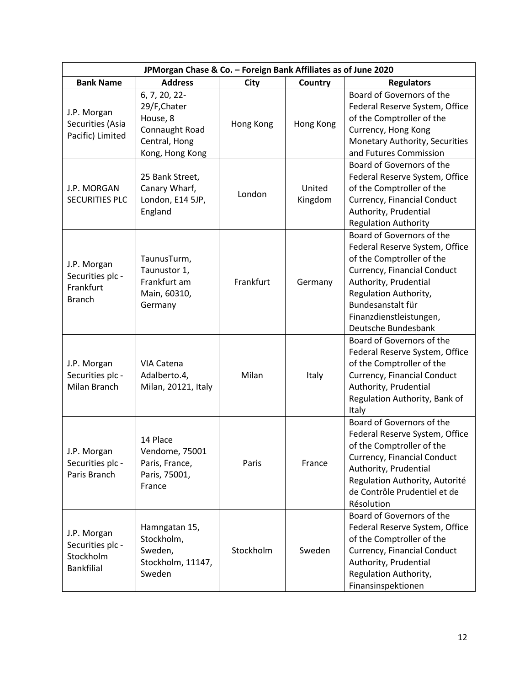| JPMorgan Chase & Co. - Foreign Bank Affiliates as of June 2020    |                                                                                                 |           |                   |                                                                                                                                                                                                                                                  |
|-------------------------------------------------------------------|-------------------------------------------------------------------------------------------------|-----------|-------------------|--------------------------------------------------------------------------------------------------------------------------------------------------------------------------------------------------------------------------------------------------|
| <b>Bank Name</b>                                                  | <b>Address</b>                                                                                  | City      | Country           | <b>Regulators</b>                                                                                                                                                                                                                                |
| J.P. Morgan<br>Securities (Asia<br>Pacific) Limited               | 6, 7, 20, 22-<br>29/F, Chater<br>House, 8<br>Connaught Road<br>Central, Hong<br>Kong, Hong Kong | Hong Kong | Hong Kong         | Board of Governors of the<br>Federal Reserve System, Office<br>of the Comptroller of the<br>Currency, Hong Kong<br>Monetary Authority, Securities<br>and Futures Commission                                                                      |
| J.P. MORGAN<br><b>SECURITIES PLC</b>                              | 25 Bank Street,<br>Canary Wharf,<br>London, E14 5JP,<br>England                                 | London    | United<br>Kingdom | Board of Governors of the<br>Federal Reserve System, Office<br>of the Comptroller of the<br>Currency, Financial Conduct<br>Authority, Prudential<br><b>Regulation Authority</b>                                                                  |
| J.P. Morgan<br>Securities plc -<br>Frankfurt<br><b>Branch</b>     | TaunusTurm,<br>Taunustor 1,<br>Frankfurt am<br>Main, 60310,<br>Germany                          | Frankfurt | Germany           | Board of Governors of the<br>Federal Reserve System, Office<br>of the Comptroller of the<br>Currency, Financial Conduct<br>Authority, Prudential<br>Regulation Authority,<br>Bundesanstalt für<br>Finanzdienstleistungen,<br>Deutsche Bundesbank |
| J.P. Morgan<br>Securities plc -<br>Milan Branch                   | VIA Catena<br>Adalberto.4,<br>Milan, 20121, Italy                                               | Milan     | Italy             | Board of Governors of the<br>Federal Reserve System, Office<br>of the Comptroller of the<br>Currency, Financial Conduct<br>Authority, Prudential<br>Regulation Authority, Bank of<br>Italy                                                       |
| J.P. Morgan<br>Securities plc -<br>Paris Branch                   | 14 Place<br>Vendome, 75001<br>Paris, France,<br>Paris, 75001,<br>France                         | Paris     | France            | Board of Governors of the<br>Federal Reserve System, Office<br>of the Comptroller of the<br>Currency, Financial Conduct<br>Authority, Prudential<br>Regulation Authority, Autorité<br>de Contrôle Prudentiel et de<br>Résolution                 |
| J.P. Morgan<br>Securities plc -<br>Stockholm<br><b>Bankfilial</b> | Hamngatan 15,<br>Stockholm,<br>Sweden,<br>Stockholm, 11147,<br>Sweden                           | Stockholm | Sweden            | Board of Governors of the<br>Federal Reserve System, Office<br>of the Comptroller of the<br>Currency, Financial Conduct<br>Authority, Prudential<br>Regulation Authority,<br>Finansinspektionen                                                  |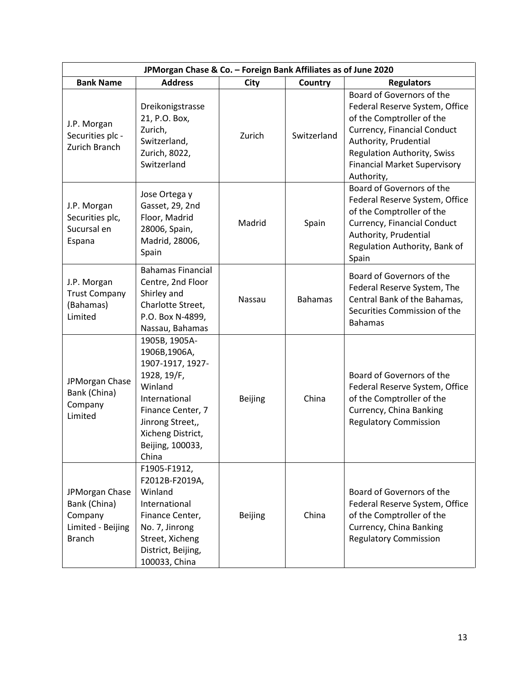| JPMorgan Chase & Co. - Foreign Bank Affiliates as of June 2020                  |                                                                                                                                                                                         |                |                |                                                                                                                                                                                                                                             |
|---------------------------------------------------------------------------------|-----------------------------------------------------------------------------------------------------------------------------------------------------------------------------------------|----------------|----------------|---------------------------------------------------------------------------------------------------------------------------------------------------------------------------------------------------------------------------------------------|
| <b>Bank Name</b>                                                                | <b>Address</b>                                                                                                                                                                          | City           | Country        | <b>Regulators</b>                                                                                                                                                                                                                           |
| J.P. Morgan<br>Securities plc -<br>Zurich Branch                                | Dreikonigstrasse<br>21, P.O. Box,<br>Zurich,<br>Switzerland,<br>Zurich, 8022,<br>Switzerland                                                                                            | Zurich         | Switzerland    | Board of Governors of the<br>Federal Reserve System, Office<br>of the Comptroller of the<br>Currency, Financial Conduct<br>Authority, Prudential<br><b>Regulation Authority, Swiss</b><br><b>Financial Market Supervisory</b><br>Authority, |
| J.P. Morgan<br>Securities plc,<br>Sucursal en<br>Espana                         | Jose Ortega y<br>Gasset, 29, 2nd<br>Floor, Madrid<br>28006, Spain,<br>Madrid, 28006,<br>Spain                                                                                           | Madrid         | Spain          | Board of Governors of the<br>Federal Reserve System, Office<br>of the Comptroller of the<br>Currency, Financial Conduct<br>Authority, Prudential<br>Regulation Authority, Bank of<br>Spain                                                  |
| J.P. Morgan<br><b>Trust Company</b><br>(Bahamas)<br>Limited                     | <b>Bahamas Financial</b><br>Centre, 2nd Floor<br>Shirley and<br>Charlotte Street,<br>P.O. Box N-4899,<br>Nassau, Bahamas                                                                | Nassau         | <b>Bahamas</b> | Board of Governors of the<br>Federal Reserve System, The<br>Central Bank of the Bahamas,<br>Securities Commission of the<br><b>Bahamas</b>                                                                                                  |
| JPMorgan Chase<br>Bank (China)<br>Company<br>Limited                            | 1905B, 1905A-<br>1906B,1906A,<br>1907-1917, 1927-<br>1928, 19/F,<br>Winland<br>International<br>Finance Center, 7<br>Jinrong Street,,<br>Xicheng District,<br>Beijing, 100033,<br>China | <b>Beijing</b> | China          | Board of Governors of the<br>Federal Reserve System, Office<br>of the Comptroller of the<br>Currency, China Banking<br><b>Regulatory Commission</b>                                                                                         |
| JPMorgan Chase<br>Bank (China)<br>Company<br>Limited - Beijing<br><b>Branch</b> | F1905-F1912,<br>F2012B-F2019A,<br>Winland<br>International<br>Finance Center,<br>No. 7, Jinrong<br>Street, Xicheng<br>District, Beijing,<br>100033, China                               | <b>Beijing</b> | China          | Board of Governors of the<br>Federal Reserve System, Office<br>of the Comptroller of the<br>Currency, China Banking<br><b>Regulatory Commission</b>                                                                                         |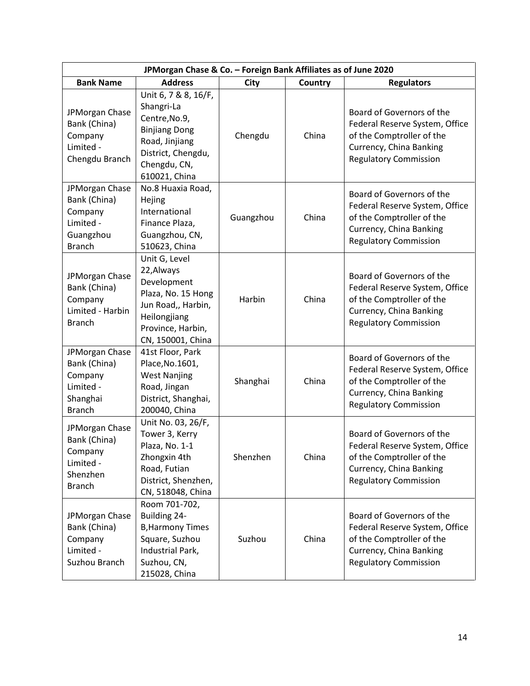| JPMorgan Chase & Co. - Foreign Bank Affiliates as of June 2020                       |                                                                                                                                                      |           |                |                                                                                                                                                     |  |  |
|--------------------------------------------------------------------------------------|------------------------------------------------------------------------------------------------------------------------------------------------------|-----------|----------------|-----------------------------------------------------------------------------------------------------------------------------------------------------|--|--|
| <b>Bank Name</b>                                                                     | <b>Address</b>                                                                                                                                       | City      | <b>Country</b> | <b>Regulators</b>                                                                                                                                   |  |  |
| JPMorgan Chase<br>Bank (China)<br>Company<br>Limited -<br>Chengdu Branch             | Unit 6, 7 & 8, 16/F,<br>Shangri-La<br>Centre, No.9,<br><b>Binjiang Dong</b><br>Road, Jinjiang<br>District, Chengdu,<br>Chengdu, CN,<br>610021, China | Chengdu   | China          | Board of Governors of the<br>Federal Reserve System, Office<br>of the Comptroller of the<br>Currency, China Banking<br><b>Regulatory Commission</b> |  |  |
| JPMorgan Chase<br>Bank (China)<br>Company<br>Limited -<br>Guangzhou<br><b>Branch</b> | No.8 Huaxia Road,<br>Hejing<br>International<br>Finance Plaza,<br>Guangzhou, CN,<br>510623, China                                                    | Guangzhou | China          | Board of Governors of the<br>Federal Reserve System, Office<br>of the Comptroller of the<br>Currency, China Banking<br><b>Regulatory Commission</b> |  |  |
| JPMorgan Chase<br>Bank (China)<br>Company<br>Limited - Harbin<br><b>Branch</b>       | Unit G, Level<br>22, Always<br>Development<br>Plaza, No. 15 Hong<br>Jun Road,, Harbin,<br>Heilongjiang<br>Province, Harbin,<br>CN, 150001, China     | Harbin    | China          | Board of Governors of the<br>Federal Reserve System, Office<br>of the Comptroller of the<br>Currency, China Banking<br><b>Regulatory Commission</b> |  |  |
| JPMorgan Chase<br>Bank (China)<br>Company<br>Limited -<br>Shanghai<br><b>Branch</b>  | 41st Floor, Park<br>Place, No. 1601,<br><b>West Nanjing</b><br>Road, Jingan<br>District, Shanghai,<br>200040, China                                  | Shanghai  | China          | Board of Governors of the<br>Federal Reserve System, Office<br>of the Comptroller of the<br>Currency, China Banking<br><b>Regulatory Commission</b> |  |  |
| JPMorgan Chase<br>Bank (China)<br>Company<br>Limited -<br>Shenzhen<br><b>Branch</b>  | Unit No. 03, 26/F,<br>Tower 3, Kerry<br>Plaza, No. 1-1<br>Zhongxin 4th<br>Road, Futian<br>District, Shenzhen,<br>CN, 518048, China                   | Shenzhen  | China          | Board of Governors of the<br>Federal Reserve System, Office<br>of the Comptroller of the<br>Currency, China Banking<br><b>Regulatory Commission</b> |  |  |
| JPMorgan Chase<br>Bank (China)<br>Company<br>Limited -<br>Suzhou Branch              | Room 701-702,<br>Building 24-<br><b>B, Harmony Times</b><br>Square, Suzhou<br>Industrial Park,<br>Suzhou, CN,<br>215028, China                       | Suzhou    | China          | Board of Governors of the<br>Federal Reserve System, Office<br>of the Comptroller of the<br>Currency, China Banking<br><b>Regulatory Commission</b> |  |  |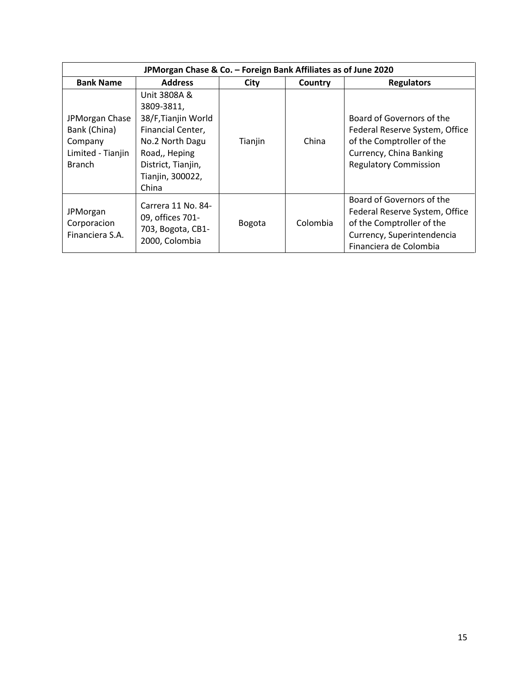| JPMorgan Chase & Co. - Foreign Bank Affiliates as of June 2020                  |                                                                                                                                                               |         |          |                                                                                                                                                     |  |  |
|---------------------------------------------------------------------------------|---------------------------------------------------------------------------------------------------------------------------------------------------------------|---------|----------|-----------------------------------------------------------------------------------------------------------------------------------------------------|--|--|
| <b>Bank Name</b>                                                                | <b>Address</b>                                                                                                                                                | City    | Country  | <b>Regulators</b>                                                                                                                                   |  |  |
| JPMorgan Chase<br>Bank (China)<br>Company<br>Limited - Tianjin<br><b>Branch</b> | Unit 3808A &<br>3809-3811,<br>38/F, Tianjin World<br>Financial Center,<br>No.2 North Dagu<br>Road,, Heping<br>District, Tianjin,<br>Tianjin, 300022,<br>China | Tianjin | China    | Board of Governors of the<br>Federal Reserve System, Office<br>of the Comptroller of the<br>Currency, China Banking<br><b>Regulatory Commission</b> |  |  |
| JPMorgan<br>Corporacion<br>Financiera S.A.                                      | Carrera 11 No. 84-<br>09, offices 701-<br>703, Bogota, CB1-<br>2000, Colombia                                                                                 | Bogota  | Colombia | Board of Governors of the<br>Federal Reserve System, Office<br>of the Comptroller of the<br>Currency, Superintendencia<br>Financiera de Colombia    |  |  |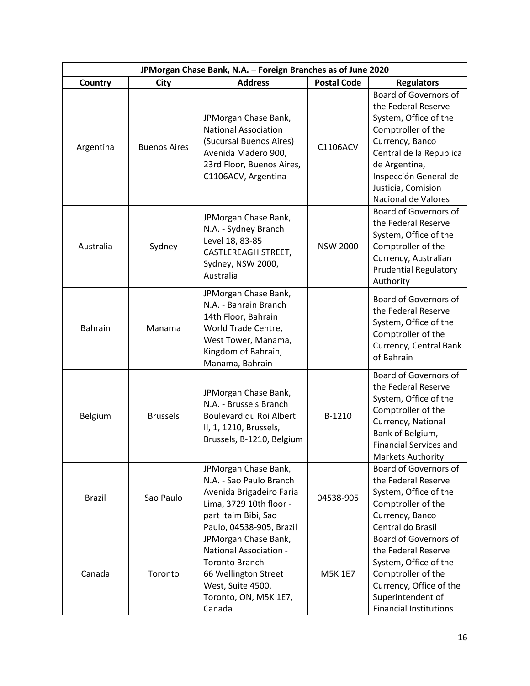| JPMorgan Chase Bank, N.A. - Foreign Branches as of June 2020 |                     |                                                                                                                                                                |                    |                                                                                                                                                                                                                                  |  |
|--------------------------------------------------------------|---------------------|----------------------------------------------------------------------------------------------------------------------------------------------------------------|--------------------|----------------------------------------------------------------------------------------------------------------------------------------------------------------------------------------------------------------------------------|--|
| Country                                                      | City                | <b>Address</b>                                                                                                                                                 | <b>Postal Code</b> | <b>Regulators</b>                                                                                                                                                                                                                |  |
| Argentina                                                    | <b>Buenos Aires</b> | JPMorgan Chase Bank,<br><b>National Association</b><br>(Sucursal Buenos Aires)<br>Avenida Madero 900,<br>23rd Floor, Buenos Aires,<br>C1106ACV, Argentina      | C1106ACV           | Board of Governors of<br>the Federal Reserve<br>System, Office of the<br>Comptroller of the<br>Currency, Banco<br>Central de la Republica<br>de Argentina,<br>Inspección General de<br>Justicia, Comision<br>Nacional de Valores |  |
| Australia                                                    | Sydney              | JPMorgan Chase Bank,<br>N.A. - Sydney Branch<br>Level 18, 83-85<br><b>CASTLEREAGH STREET,</b><br>Sydney, NSW 2000,<br>Australia                                | <b>NSW 2000</b>    | Board of Governors of<br>the Federal Reserve<br>System, Office of the<br>Comptroller of the<br>Currency, Australian<br><b>Prudential Regulatory</b><br>Authority                                                                 |  |
| <b>Bahrain</b>                                               | Manama              | JPMorgan Chase Bank,<br>N.A. - Bahrain Branch<br>14th Floor, Bahrain<br>World Trade Centre,<br>West Tower, Manama,<br>Kingdom of Bahrain,<br>Manama, Bahrain   |                    | Board of Governors of<br>the Federal Reserve<br>System, Office of the<br>Comptroller of the<br>Currency, Central Bank<br>of Bahrain                                                                                              |  |
| Belgium                                                      | <b>Brussels</b>     | JPMorgan Chase Bank,<br>N.A. - Brussels Branch<br>Boulevard du Roi Albert<br>II, 1, 1210, Brussels,<br>Brussels, B-1210, Belgium                               | B-1210             | Board of Governors of<br>the Federal Reserve<br>System, Office of the<br>Comptroller of the<br>Currency, National<br>Bank of Belgium,<br><b>Financial Services and</b><br><b>Markets Authority</b>                               |  |
| <b>Brazil</b>                                                | Sao Paulo           | JPMorgan Chase Bank,<br>N.A. - Sao Paulo Branch<br>Avenida Brigadeiro Faria<br>Lima, 3729 10th floor -<br>part Itaim Bibi, Sao<br>Paulo, 04538-905, Brazil     | 04538-905          | <b>Board of Governors of</b><br>the Federal Reserve<br>System, Office of the<br>Comptroller of the<br>Currency, Banco<br>Central do Brasil                                                                                       |  |
| Canada                                                       | Toronto             | JPMorgan Chase Bank,<br><b>National Association -</b><br><b>Toronto Branch</b><br>66 Wellington Street<br>West, Suite 4500,<br>Toronto, ON, M5K 1E7,<br>Canada | <b>M5K 1E7</b>     | Board of Governors of<br>the Federal Reserve<br>System, Office of the<br>Comptroller of the<br>Currency, Office of the<br>Superintendent of<br><b>Financial Institutions</b>                                                     |  |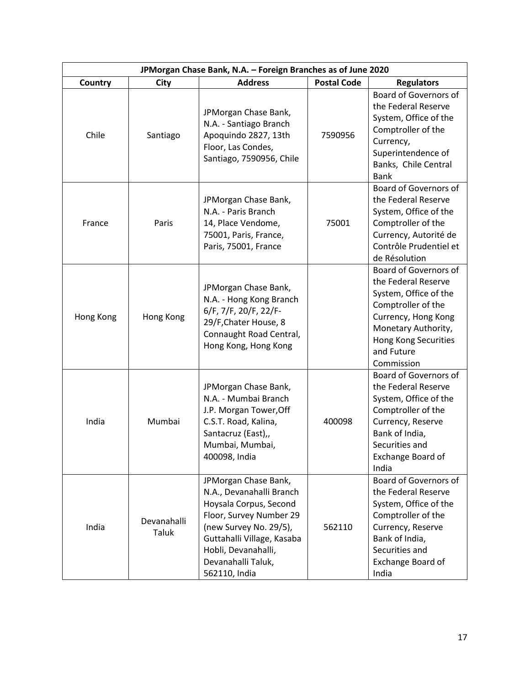| JPMorgan Chase Bank, N.A. - Foreign Branches as of June 2020 |                      |                                                                                                                                                                                                                             |                    |                                                                                                                                                                                               |
|--------------------------------------------------------------|----------------------|-----------------------------------------------------------------------------------------------------------------------------------------------------------------------------------------------------------------------------|--------------------|-----------------------------------------------------------------------------------------------------------------------------------------------------------------------------------------------|
| Country                                                      | <b>City</b>          | <b>Address</b>                                                                                                                                                                                                              | <b>Postal Code</b> | <b>Regulators</b>                                                                                                                                                                             |
| Chile                                                        | Santiago             | JPMorgan Chase Bank,<br>N.A. - Santiago Branch<br>Apoquindo 2827, 13th<br>Floor, Las Condes,<br>Santiago, 7590956, Chile                                                                                                    | 7590956            | Board of Governors of<br>the Federal Reserve<br>System, Office of the<br>Comptroller of the<br>Currency,<br>Superintendence of<br>Banks, Chile Central<br><b>Bank</b>                         |
| France                                                       | Paris                | JPMorgan Chase Bank,<br>N.A. - Paris Branch<br>14, Place Vendome,<br>75001, Paris, France,<br>Paris, 75001, France                                                                                                          | 75001              | Board of Governors of<br>the Federal Reserve<br>System, Office of the<br>Comptroller of the<br>Currency, Autorité de<br>Contrôle Prudentiel et<br>de Résolution                               |
| Hong Kong                                                    | Hong Kong            | JPMorgan Chase Bank,<br>N.A. - Hong Kong Branch<br>6/F, 7/F, 20/F, 22/F-<br>29/F, Chater House, 8<br>Connaught Road Central,<br>Hong Kong, Hong Kong                                                                        |                    | Board of Governors of<br>the Federal Reserve<br>System, Office of the<br>Comptroller of the<br>Currency, Hong Kong<br>Monetary Authority,<br>Hong Kong Securities<br>and Future<br>Commission |
| India                                                        | Mumbai               | JPMorgan Chase Bank,<br>N.A. - Mumbai Branch<br>J.P. Morgan Tower, Off<br>C.S.T. Road, Kalina,<br>Santacruz (East),,<br>Mumbai, Mumbai,<br>400098, India                                                                    | 400098             | Board of Governors of<br>the Federal Reserve<br>System, Office of the<br>Comptroller of the<br>Currency, Reserve<br>Bank of India,<br>Securities and<br>Exchange Board of<br>India            |
| India                                                        | Devanahalli<br>Taluk | JPMorgan Chase Bank,<br>N.A., Devanahalli Branch<br>Hoysala Corpus, Second<br>Floor, Survey Number 29<br>(new Survey No. 29/5),<br>Guttahalli Village, Kasaba<br>Hobli, Devanahalli,<br>Devanahalli Taluk,<br>562110, India | 562110             | Board of Governors of<br>the Federal Reserve<br>System, Office of the<br>Comptroller of the<br>Currency, Reserve<br>Bank of India,<br>Securities and<br>Exchange Board of<br>India            |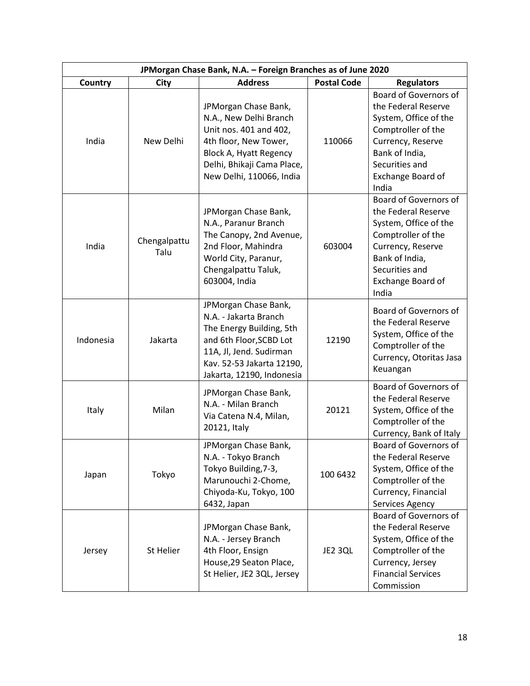| JPMorgan Chase Bank, N.A. - Foreign Branches as of June 2020 |                      |                                                                                                                                                                                           |                    |                                                                                                                                                                                           |
|--------------------------------------------------------------|----------------------|-------------------------------------------------------------------------------------------------------------------------------------------------------------------------------------------|--------------------|-------------------------------------------------------------------------------------------------------------------------------------------------------------------------------------------|
| Country                                                      | City                 | <b>Address</b>                                                                                                                                                                            | <b>Postal Code</b> | <b>Regulators</b>                                                                                                                                                                         |
| India                                                        | New Delhi            | JPMorgan Chase Bank,<br>N.A., New Delhi Branch<br>Unit nos. 401 and 402,<br>4th floor, New Tower,<br>Block A, Hyatt Regency<br>Delhi, Bhikaji Cama Place,<br>New Delhi, 110066, India     | 110066             | <b>Board of Governors of</b><br>the Federal Reserve<br>System, Office of the<br>Comptroller of the<br>Currency, Reserve<br>Bank of India,<br>Securities and<br>Exchange Board of<br>India |
| India                                                        | Chengalpattu<br>Talu | JPMorgan Chase Bank,<br>N.A., Paranur Branch<br>The Canopy, 2nd Avenue,<br>2nd Floor, Mahindra<br>World City, Paranur,<br>Chengalpattu Taluk,<br>603004, India                            | 603004             | Board of Governors of<br>the Federal Reserve<br>System, Office of the<br>Comptroller of the<br>Currency, Reserve<br>Bank of India,<br>Securities and<br>Exchange Board of<br>India        |
| Indonesia                                                    | Jakarta              | JPMorgan Chase Bank,<br>N.A. - Jakarta Branch<br>The Energy Building, 5th<br>and 6th Floor, SCBD Lot<br>11A, Jl, Jend. Sudirman<br>Kav. 52-53 Jakarta 12190,<br>Jakarta, 12190, Indonesia | 12190              | Board of Governors of<br>the Federal Reserve<br>System, Office of the<br>Comptroller of the<br>Currency, Otoritas Jasa<br>Keuangan                                                        |
| Italy                                                        | Milan                | JPMorgan Chase Bank,<br>N.A. - Milan Branch<br>Via Catena N.4, Milan,<br>20121, Italy                                                                                                     | 20121              | Board of Governors of<br>the Federal Reserve<br>System, Office of the<br>Comptroller of the<br>Currency, Bank of Italy                                                                    |
| Japan                                                        | Tokyo                | JPMorgan Chase Bank,<br>N.A. - Tokyo Branch<br>Tokyo Building, 7-3,<br>Marunouchi 2-Chome,<br>Chiyoda-Ku, Tokyo, 100<br>6432, Japan                                                       | 100 6432           | <b>Board of Governors of</b><br>the Federal Reserve<br>System, Office of the<br>Comptroller of the<br>Currency, Financial<br>Services Agency                                              |
| Jersey                                                       | St Helier            | JPMorgan Chase Bank,<br>N.A. - Jersey Branch<br>4th Floor, Ensign<br>House, 29 Seaton Place,<br>St Helier, JE2 3QL, Jersey                                                                | JE2 3QL            | Board of Governors of<br>the Federal Reserve<br>System, Office of the<br>Comptroller of the<br>Currency, Jersey<br><b>Financial Services</b><br>Commission                                |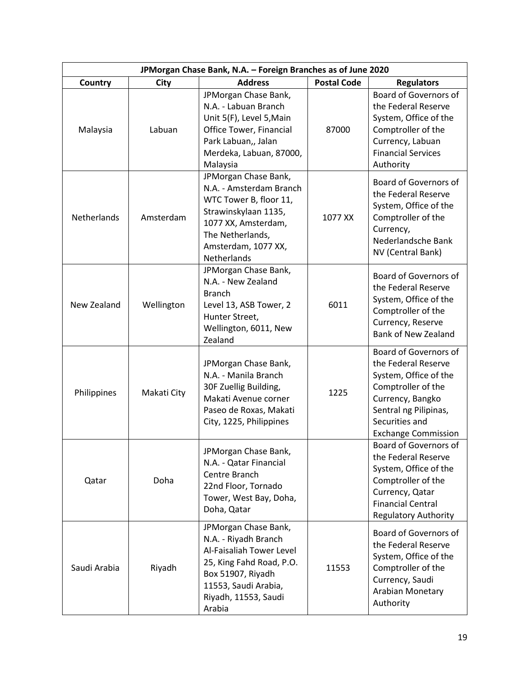| JPMorgan Chase Bank, N.A. - Foreign Branches as of June 2020 |             |                                                                                                                                                                                           |                    |                                                                                                                                                                                          |  |
|--------------------------------------------------------------|-------------|-------------------------------------------------------------------------------------------------------------------------------------------------------------------------------------------|--------------------|------------------------------------------------------------------------------------------------------------------------------------------------------------------------------------------|--|
| Country                                                      | City        | <b>Address</b>                                                                                                                                                                            | <b>Postal Code</b> | <b>Regulators</b>                                                                                                                                                                        |  |
| Malaysia                                                     | Labuan      | JPMorgan Chase Bank,<br>N.A. - Labuan Branch<br>Unit 5(F), Level 5, Main<br><b>Office Tower, Financial</b><br>Park Labuan,, Jalan<br>Merdeka, Labuan, 87000,<br>Malaysia                  | 87000              | Board of Governors of<br>the Federal Reserve<br>System, Office of the<br>Comptroller of the<br>Currency, Labuan<br><b>Financial Services</b><br>Authority                                |  |
| Netherlands                                                  | Amsterdam   | JPMorgan Chase Bank,<br>N.A. - Amsterdam Branch<br>WTC Tower B, floor 11,<br>Strawinskylaan 1135,<br>1077 XX, Amsterdam,<br>The Netherlands,<br>Amsterdam, 1077 XX,<br><b>Netherlands</b> | 1077 XX            | Board of Governors of<br>the Federal Reserve<br>System, Office of the<br>Comptroller of the<br>Currency,<br>Nederlandsche Bank<br>NV (Central Bank)                                      |  |
| New Zealand                                                  | Wellington  | JPMorgan Chase Bank,<br>N.A. - New Zealand<br><b>Branch</b><br>Level 13, ASB Tower, 2<br>Hunter Street,<br>Wellington, 6011, New<br>Zealand                                               | 6011               | Board of Governors of<br>the Federal Reserve<br>System, Office of the<br>Comptroller of the<br>Currency, Reserve<br><b>Bank of New Zealand</b>                                           |  |
| Philippines                                                  | Makati City | JPMorgan Chase Bank,<br>N.A. - Manila Branch<br>30F Zuellig Building,<br>Makati Avenue corner<br>Paseo de Roxas, Makati<br>City, 1225, Philippines                                        | 1225               | Board of Governors of<br>the Federal Reserve<br>System, Office of the<br>Comptroller of the<br>Currency, Bangko<br>Sentral ng Pilipinas,<br>Securities and<br><b>Exchange Commission</b> |  |
| Qatar                                                        | Doha        | JPMorgan Chase Bank,<br>N.A. - Qatar Financial<br>Centre Branch<br>22nd Floor, Tornado<br>Tower, West Bay, Doha,<br>Doha, Qatar                                                           |                    | <b>Board of Governors of</b><br>the Federal Reserve<br>System, Office of the<br>Comptroller of the<br>Currency, Qatar<br><b>Financial Central</b><br><b>Regulatory Authority</b>         |  |
| Saudi Arabia                                                 | Riyadh      | JPMorgan Chase Bank,<br>N.A. - Riyadh Branch<br>Al-Faisaliah Tower Level<br>25, King Fahd Road, P.O.<br>Box 51907, Riyadh<br>11553, Saudi Arabia,<br>Riyadh, 11553, Saudi<br>Arabia       | 11553              | Board of Governors of<br>the Federal Reserve<br>System, Office of the<br>Comptroller of the<br>Currency, Saudi<br>Arabian Monetary<br>Authority                                          |  |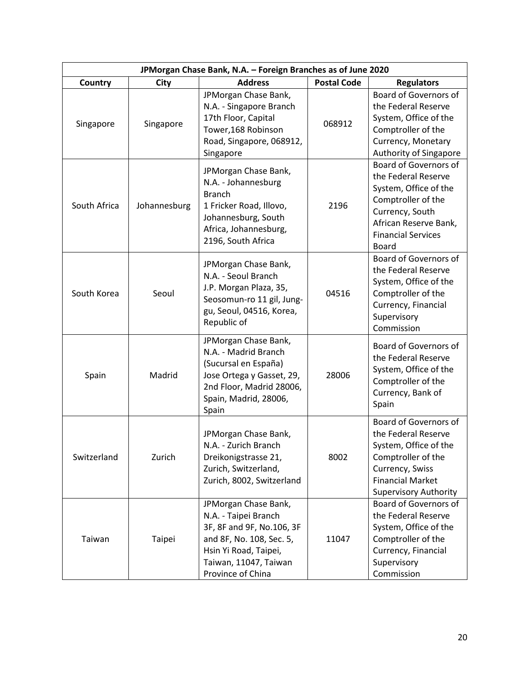| JPMorgan Chase Bank, N.A. - Foreign Branches as of June 2020 |              |                                                                                                                                                                              |                    |                                                                                                                                                                                      |  |
|--------------------------------------------------------------|--------------|------------------------------------------------------------------------------------------------------------------------------------------------------------------------------|--------------------|--------------------------------------------------------------------------------------------------------------------------------------------------------------------------------------|--|
| Country                                                      | City         | <b>Address</b>                                                                                                                                                               | <b>Postal Code</b> | <b>Regulators</b>                                                                                                                                                                    |  |
| Singapore                                                    | Singapore    | JPMorgan Chase Bank,<br>N.A. - Singapore Branch<br>17th Floor, Capital<br>Tower, 168 Robinson<br>Road, Singapore, 068912,<br>Singapore                                       | 068912             | Board of Governors of<br>the Federal Reserve<br>System, Office of the<br>Comptroller of the<br>Currency, Monetary<br>Authority of Singapore                                          |  |
| South Africa                                                 | Johannesburg | JPMorgan Chase Bank,<br>N.A. - Johannesburg<br><b>Branch</b><br>1 Fricker Road, Illovo,<br>Johannesburg, South<br>Africa, Johannesburg,<br>2196, South Africa                | 2196               | Board of Governors of<br>the Federal Reserve<br>System, Office of the<br>Comptroller of the<br>Currency, South<br>African Reserve Bank,<br><b>Financial Services</b><br><b>Board</b> |  |
| South Korea                                                  | Seoul        | JPMorgan Chase Bank,<br>N.A. - Seoul Branch<br>J.P. Morgan Plaza, 35,<br>Seosomun-ro 11 gil, Jung-<br>gu, Seoul, 04516, Korea,<br>Republic of                                | 04516              | <b>Board of Governors of</b><br>the Federal Reserve<br>System, Office of the<br>Comptroller of the<br>Currency, Financial<br>Supervisory<br>Commission                               |  |
| Spain                                                        | Madrid       | JPMorgan Chase Bank,<br>N.A. - Madrid Branch<br>(Sucursal en España)<br>Jose Ortega y Gasset, 29,<br>2nd Floor, Madrid 28006,<br>Spain, Madrid, 28006,<br>Spain              | 28006              | Board of Governors of<br>the Federal Reserve<br>System, Office of the<br>Comptroller of the<br>Currency, Bank of<br>Spain                                                            |  |
| Switzerland                                                  | Zurich       | JPMorgan Chase Bank,<br>N.A. - Zurich Branch<br>Dreikonigstrasse 21,<br>Zurich, Switzerland,<br>Zurich, 8002, Switzerland                                                    | 8002               | Board of Governors of<br>the Federal Reserve<br>System, Office of the<br>Comptroller of the<br>Currency, Swiss<br><b>Financial Market</b><br><b>Supervisory Authority</b>            |  |
| Taiwan                                                       | Taipei       | JPMorgan Chase Bank,<br>N.A. - Taipei Branch<br>3F, 8F and 9F, No.106, 3F<br>and 8F, No. 108, Sec. 5,<br>Hsin Yi Road, Taipei,<br>Taiwan, 11047, Taiwan<br>Province of China | 11047              | Board of Governors of<br>the Federal Reserve<br>System, Office of the<br>Comptroller of the<br>Currency, Financial<br>Supervisory<br>Commission                                      |  |